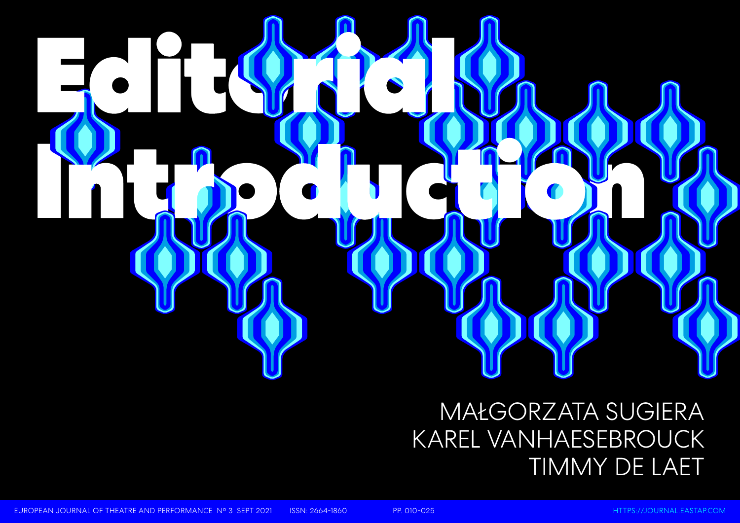# R. B. Charles **Introduction of the contract of the contract of the contract of the contract of the contract of the contract of the contract of the contract of the contract of the contract of the contract of the contract of the contract**

## MAŁGORZATA SUGIERA KAREL VANHAESEBROUCK TIMMY DE LAET

EUROPEAN JOURNAL OF THEATRE AND PERFORMANCE N° 3 SEPT 2021 ISSN: 2664-1860 PP. 010-025 [HTTPS://JOURNAL.EASTAP.COM](https://journal.eastap.com)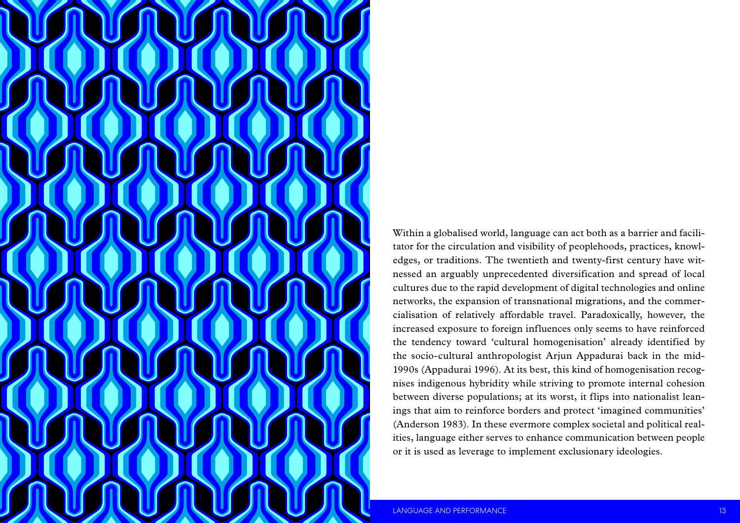

Within a globalised world, language can act both as a barrier and facili tator for the circulation and visibility of peoplehoods, practices, knowl edges, or traditions. The twentieth and twenty-first century have witnessed an arguably unprecedented diversification and spread of local cultures due to the rapid development of digital technologies and online networks, the expansion of transnational migrations, and the commer cialisation of relatively affordable travel. Paradoxically, however, the increased exposure to foreign influences only seems to have reinforced the tendency toward 'cultural homogenisation' already identified by the socio-cultural anthropologist Arjun Appadurai back in the mid-1990s (Appadurai 1996). At its best, this kind of homogenisation recognises indigenous hybridity while striving to promote internal cohesion between diverse populations; at its worst, it flips into nationalist lean ings that aim to reinforce borders and protect 'imagined communities' (Anderson 1983). In these evermore complex societal and political real ities, language either serves to enhance communication between people or it is used as leverage to implement exclusionary ideologies.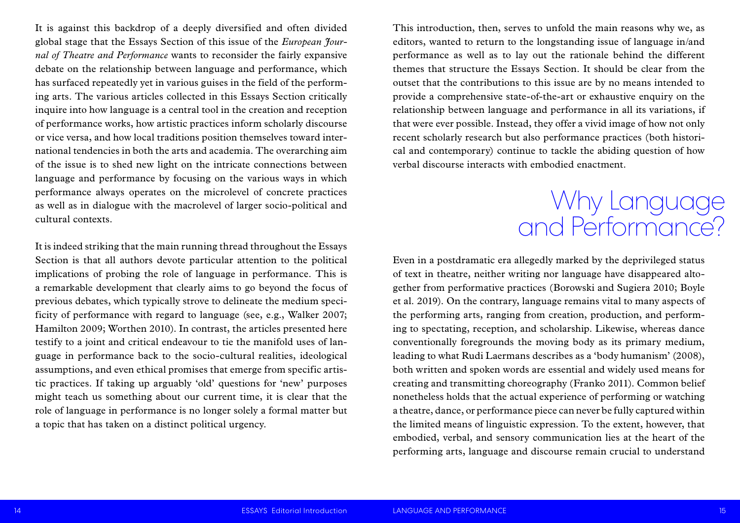This introduction, then, serves to unfold the main reasons why we, as editors, wanted to return to the longstanding issue of language in/and performance as well as to lay out the rationale behind the different themes that structure the Essays Section. It should be clear from the outset that the contributions to this issue are by no means intended to provide a comprehensive state-of-the-art or exhaustive enquiry on the relationship between language and performance in all its variations, if that were ever possible. Instead, they offer a vivid image of how not only recent scholarly research but also performance practices (both historical and contemporary) continue to tackle the abiding question of how verbal discourse interacts with embodied enactment.

Even in a postdramatic era allegedly marked by the deprivileged status of text in theatre, neither writing nor language have disappeared altogether from performative practices (Borowski and Sugiera 2010; Boyle et al. 2019). On the contrary, language remains vital to many aspects of the performing arts, ranging from creation, production, and performing to spectating, reception, and scholarship. Likewise, whereas dance conventionally foregrounds the moving body as its primary medium, leading to what Rudi Laermans describes as a 'body humanism' (2008), both written and spoken words are essential and widely used means for creating and transmitting choreography (Franko 2011). Common belief nonetheless holds that the actual experience of performing or watching a theatre, dance, or performance piece can never be fully captured within the limited means of linguistic expression. To the extent, however, that embodied, verbal, and sensory communication lies at the heart of the performing arts, language and discourse remain crucial to understand

It is against this backdrop of a deeply diversified and often divided global stage that the Essays Section of this issue of the *European Journal of Theatre and Performance* wants to reconsider the fairly expansive debate on the relationship between language and performance, which has surfaced repeatedly yet in various guises in the field of the performing arts. The various articles collected in this Essays Section critically inquire into how language is a central tool in the creation and reception of performance works, how artistic practices inform scholarly discourse or vice versa, and how local traditions position themselves toward international tendencies in both the arts and academia. The overarching aim of the issue is to shed new light on the intricate connections between language and performance by focusing on the various ways in which performance always operates on the microlevel of concrete practices as well as in dialogue with the macrolevel of larger socio-political and cultural contexts.

It is indeed striking that the main running thread throughout the Essays Section is that all authors devote particular attention to the political implications of probing the role of language in performance. This is a remarkable development that clearly aims to go beyond the focus of previous debates, which typically strove to delineate the medium specificity of performance with regard to language (see, e.g., Walker 2007; Hamilton 2009; Worthen 2010). In contrast, the articles presented here testify to a joint and critical endeavour to tie the manifold uses of language in performance back to the socio-cultural realities, ideological assumptions, and even ethical promises that emerge from specific artistic practices. If taking up arguably 'old' questions for 'new' purposes might teach us something about our current time, it is clear that the role of language in performance is no longer solely a formal matter but a topic that has taken on a distinct political urgency.

### Why Language and Performance?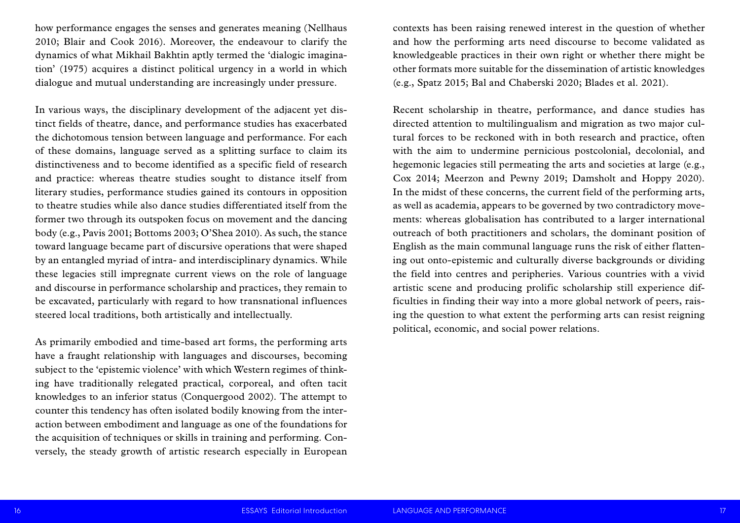contexts has been raising renewed interest in the question of whether and how the performing arts need discourse to become validated as knowledgeable practices in their own right or whether there might be other formats more suitable for the dissemination of artistic knowledges (e.g., Spatz 2015; Bal and Chaberski 2020; Blades et al. 2021).

Recent scholarship in theatre, performance, and dance studies has directed attention to multilingualism and migration as two major cultural forces to be reckoned with in both research and practice, often with the aim to undermine pernicious postcolonial, decolonial, and hegemonic legacies still permeating the arts and societies at large (e.g., Cox 2014; Meerzon and Pewny 2019; Damsholt and Hoppy 2020). In the midst of these concerns, the current field of the performing arts, as well as academia, appears to be governed by two contradictory movements: whereas globalisation has contributed to a larger international outreach of both practitioners and scholars, the dominant position of English as the main communal language runs the risk of either flattening out onto-epistemic and culturally diverse backgrounds or dividing the field into centres and peripheries. Various countries with a vivid artistic scene and producing prolific scholarship still experience difficulties in finding their way into a more global network of peers, raising the question to what extent the performing arts can resist reigning political, economic, and social power relations.

how performance engages the senses and generates meaning (Nellhaus 2010; Blair and Cook 2016). Moreover, the endeavour to clarify the dynamics of what Mikhail Bakhtin aptly termed the 'dialogic imagination' (1975) acquires a distinct political urgency in a world in which dialogue and mutual understanding are increasingly under pressure.

In various ways, the disciplinary development of the adjacent yet distinct fields of theatre, dance, and performance studies has exacerbated the dichotomous tension between language and performance. For each of these domains, language served as a splitting surface to claim its distinctiveness and to become identified as a specific field of research and practice: whereas theatre studies sought to distance itself from literary studies, performance studies gained its contours in opposition to theatre studies while also dance studies differentiated itself from the former two through its outspoken focus on movement and the dancing body (e.g., Pavis 2001; Bottoms 2003; O'Shea 2010). As such, the stance toward language became part of discursive operations that were shaped by an entangled myriad of intra- and interdisciplinary dynamics. While these legacies still impregnate current views on the role of language and discourse in performance scholarship and practices, they remain to be excavated, particularly with regard to how transnational influences steered local traditions, both artistically and intellectually.

As primarily embodied and time-based art forms, the performing arts have a fraught relationship with languages and discourses, becoming subject to the 'epistemic violence' with which Western regimes of thinking have traditionally relegated practical, corporeal, and often tacit knowledges to an inferior status (Conquergood 2002). The attempt to counter this tendency has often isolated bodily knowing from the interaction between embodiment and language as one of the foundations for the acquisition of techniques or skills in training and performing. Conversely, the steady growth of artistic research especially in European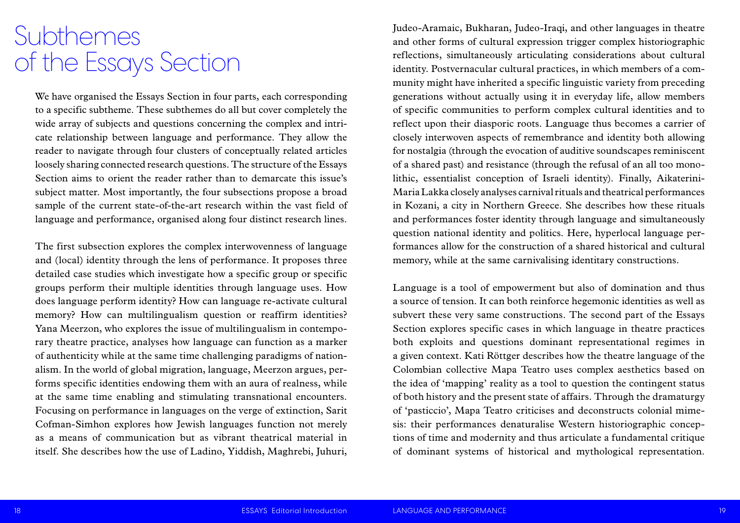Judeo-Aramaic, Bukharan, Judeo-Iraqi, and other languages in theatre and other forms of cultural expression trigger complex historiographic reflections, simultaneously articulating considerations about cultural identity. Postvernacular cultural practices, in which members of a community might have inherited a specific linguistic variety from preceding generations without actually using it in everyday life, allow members of specific communities to perform complex cultural identities and to reflect upon their diasporic roots. Language thus becomes a carrier of closely interwoven aspects of remembrance and identity both allowing for nostalgia (through the evocation of auditive soundscapes reminiscent of a shared past) and resistance (through the refusal of an all too monolithic, essentialist conception of Israeli identity). Finally, Aikaterini-Maria Lakka closely analyses carnival rituals and theatrical performances in Kozani, a city in Northern Greece. She describes how these rituals and performances foster identity through language and simultaneously question national identity and politics. Here, hyperlocal language performances allow for the construction of a shared historical and cultural memory, while at the same carnivalising identitary constructions.

Language is a tool of empowerment but also of domination and thus a source of tension. It can both reinforce hegemonic identities as well as subvert these very same constructions. The second part of the Essays Section explores specific cases in which language in theatre practices both exploits and questions dominant representational regimes in a given context. Kati Röttger describes how the theatre language of the Colombian collective Mapa Teatro uses complex aesthetics based on the idea of 'mapping' reality as a tool to question the contingent status of both history and the present state of affairs. Through the dramaturgy of 'pasticcio', Mapa Teatro criticises and deconstructs colonial mimesis: their performances denaturalise Western historiographic conceptions of time and modernity and thus articulate a fundamental critique of dominant systems of historical and mythological representation.

We have organised the Essays Section in four parts, each corresponding to a specific subtheme. These subthemes do all but cover completely the wide array of subjects and questions concerning the complex and intricate relationship between language and performance. They allow the reader to navigate through four clusters of conceptually related articles loosely sharing connected research questions. The structure of the Essays Section aims to orient the reader rather than to demarcate this issue's subject matter. Most importantly, the four subsections propose a broad sample of the current state-of-the-art research within the vast field of language and performance, organised along four distinct research lines.

The first subsection explores the complex interwovenness of language and (local) identity through the lens of performance. It proposes three detailed case studies which investigate how a specific group or specific groups perform their multiple identities through language uses. How does language perform identity? How can language re-activate cultural memory? How can multilingualism question or reaffirm identities? Yana Meerzon, who explores the issue of multilingualism in contemporary theatre practice, analyses how language can function as a marker of authenticity while at the same time challenging paradigms of nationalism. In the world of global migration, language, Meerzon argues, performs specific identities endowing them with an aura of realness, while at the same time enabling and stimulating transnational encounters. Focusing on performance in languages on the verge of extinction, Sarit Cofman-Simhon explores how Jewish languages function not merely as a means of communication but as vibrant theatrical material in itself. She describes how the use of Ladino, Yiddish, Maghrebi, Juhuri,

### Subthemes of the Essays Section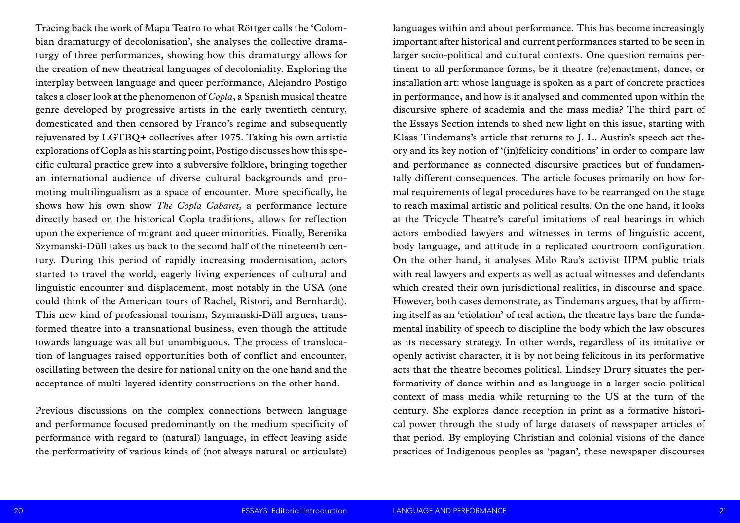languages within and about performance. This has become increasingly important after historical and current performances started to be seen in larger socio-political and cultural contexts. One question remains pertinent to all performance forms, be it theatre (re)enactment, dance, or installation art: whose language is spoken as a part of concrete practices in performance, and how is it analysed and commented upon within the discursive sphere of academia and the mass media? The third part of the Essays Section intends to shed new light on this issue, starting with Klaas Tindemans's article that returns to J. L. Austin's speech act theory and its key notion of '(in)felicity conditions' in order to compare law and performance as connected discursive practices but of fundamentally different consequences. The article focuses primarily on how formal requirements of legal procedures have to be rearranged on the stage to reach maximal artistic and political results. On the one hand, it looks at the Tricycle Theatre's careful imitations of real hearings in which actors embodied lawyers and witnesses in terms of linguistic accent, body language, and attitude in a replicated courtroom configuration. On the other hand, it analyses Milo Rau's activist IIPM public trials with real lawyers and experts as well as actual witnesses and defendants which created their own jurisdictional realities, in discourse and space. However, both cases demonstrate, as Tindemans argues, that by affirming itself as an 'etiolation' of real action, the theatre lays bare the fundamental inability of speech to discipline the body which the law obscures as its necessary strategy. In other words, regardless of its imitative or openly activist character, it is by not being felicitous in its performative acts that the theatre becomes political. Lindsey Drury situates the performativity of dance within and as language in a larger socio-political context of mass media while returning to the US at the turn of the century. She explores dance reception in print as a formative historical power through the study of large datasets of newspaper articles of that period. By employing Christian and colonial visions of the dance practices of Indigenous peoples as 'pagan', these newspaper discourses

Tracing back the work of Mapa Teatro to what Röttger calls the 'Colombian dramaturgy of decolonisation', she analyses the collective dramaturgy of three performances, showing how this dramaturgy allows for the creation of new theatrical languages of decoloniality. Exploring the interplay between language and queer performance, Alejandro Postigo takes a closer look at the phenomenon of *Copla*, a Spanish musical theatre genre developed by progressive artists in the early twentieth century, domesticated and then censored by Franco's regime and subsequently rejuvenated by LGTBQ+ collectives after 1975. Taking his own artistic explorations of Copla as his starting point, Postigo discusses how this specific cultural practice grew into a subversive folklore, bringing together an international audience of diverse cultural backgrounds and promoting multilingualism as a space of encounter. More specifically, he shows how his own show *The Copla Cabaret*, a performance lecture directly based on the historical Copla traditions, allows for reflection upon the experience of migrant and queer minorities. Finally, Berenika Szymanski-Düll takes us back to the second half of the nineteenth century. During this period of rapidly increasing modernisation, actors started to travel the world, eagerly living experiences of cultural and linguistic encounter and displacement, most notably in the USA (one could think of the American tours of Rachel, Ristori, and Bernhardt). This new kind of professional tourism, Szymanski-Düll argues, transformed theatre into a transnational business, even though the attitude towards language was all but unambiguous. The process of translocation of languages raised opportunities both of conflict and encounter, oscillating between the desire for national unity on the one hand and the acceptance of multi-layered identity constructions on the other hand.

Previous discussions on the complex connections between language and performance focused predominantly on the medium specificity of performance with regard to (natural) language, in effect leaving aside the performativity of various kinds of (not always natural or articulate)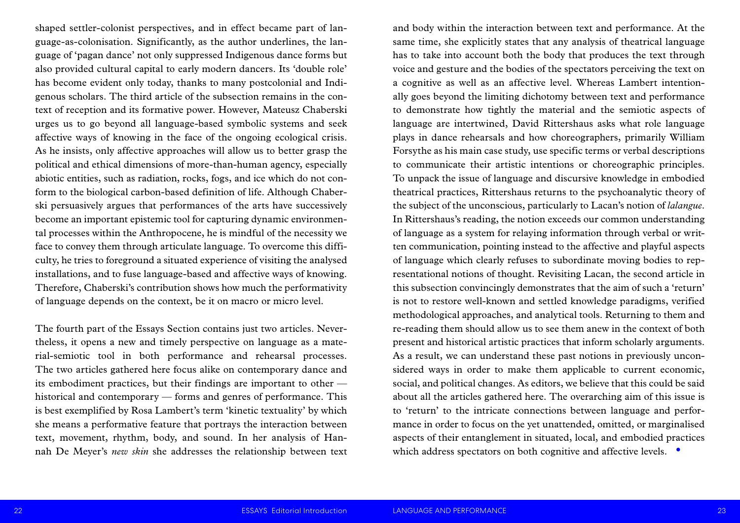and body within the interaction between text and performance. At the same time, she explicitly states that any analysis of theatrical language has to take into account both the body that produces the text through voice and gesture and the bodies of the spectators perceiving the text on a cognitive as well as an affective level. Whereas Lambert intentionally goes beyond the limiting dichotomy between text and performance to demonstrate how tightly the material and the semiotic aspects of language are intertwined, David Rittershaus asks what role language plays in dance rehearsals and how choreographers, primarily William Forsythe as his main case study, use specific terms or verbal descriptions to communicate their artistic intentions or choreographic principles. To unpack the issue of language and discursive knowledge in embodied theatrical practices, Rittershaus returns to the psychoanalytic theory of the subject of the unconscious, particularly to Lacan's notion of *lalangue*. In Rittershaus's reading, the notion exceeds our common understanding of language as a system for relaying information through verbal or written communication, pointing instead to the affective and playful aspects of language which clearly refuses to subordinate moving bodies to representational notions of thought. Revisiting Lacan, the second article in this subsection convincingly demonstrates that the aim of such a 'return' is not to restore well-known and settled knowledge paradigms, verified methodological approaches, and analytical tools. Returning to them and re-reading them should allow us to see them anew in the context of both present and historical artistic practices that inform scholarly arguments. As a result, we can understand these past notions in previously unconsidered ways in order to make them applicable to current economic, social, and political changes. As editors, we believe that this could be said about all the articles gathered here. The overarching aim of this issue is to 'return' to the intricate connections between language and performance in order to focus on the yet unattended, omitted, or marginalised aspects of their entanglement in situated, local, and embodied practices which address spectators on both cognitive and affective levels.  $\bullet$ 

shaped settler-colonist perspectives, and in effect became part of language-as-colonisation. Significantly, as the author underlines, the language of 'pagan dance' not only suppressed Indigenous dance forms but also provided cultural capital to early modern dancers. Its 'double role' has become evident only today, thanks to many postcolonial and Indigenous scholars. The third article of the subsection remains in the context of reception and its formative power. However, Mateusz Chaberski urges us to go beyond all language-based symbolic systems and seek affective ways of knowing in the face of the ongoing ecological crisis. As he insists, only affective approaches will allow us to better grasp the political and ethical dimensions of more-than-human agency, especially abiotic entities, such as radiation, rocks, fogs, and ice which do not conform to the biological carbon-based definition of life. Although Chaberski persuasively argues that performances of the arts have successively become an important epistemic tool for capturing dynamic environmental processes within the Anthropocene, he is mindful of the necessity we face to convey them through articulate language. To overcome this difficulty, he tries to foreground a situated experience of visiting the analysed installations, and to fuse language-based and affective ways of knowing. Therefore, Chaberski's contribution shows how much the performativity of language depends on the context, be it on macro or micro level.

The fourth part of the Essays Section contains just two articles. Nevertheless, it opens a new and timely perspective on language as a material-semiotic tool in both performance and rehearsal processes. The two articles gathered here focus alike on contemporary dance and its embodiment practices, but their findings are important to other historical and contemporary — forms and genres of performance. This is best exemplified by Rosa Lambert's term 'kinetic textuality' by which she means a performative feature that portrays the interaction between text, movement, rhythm, body, and sound. In her analysis of Hannah De Meyer's *new skin* she addresses the relationship between text